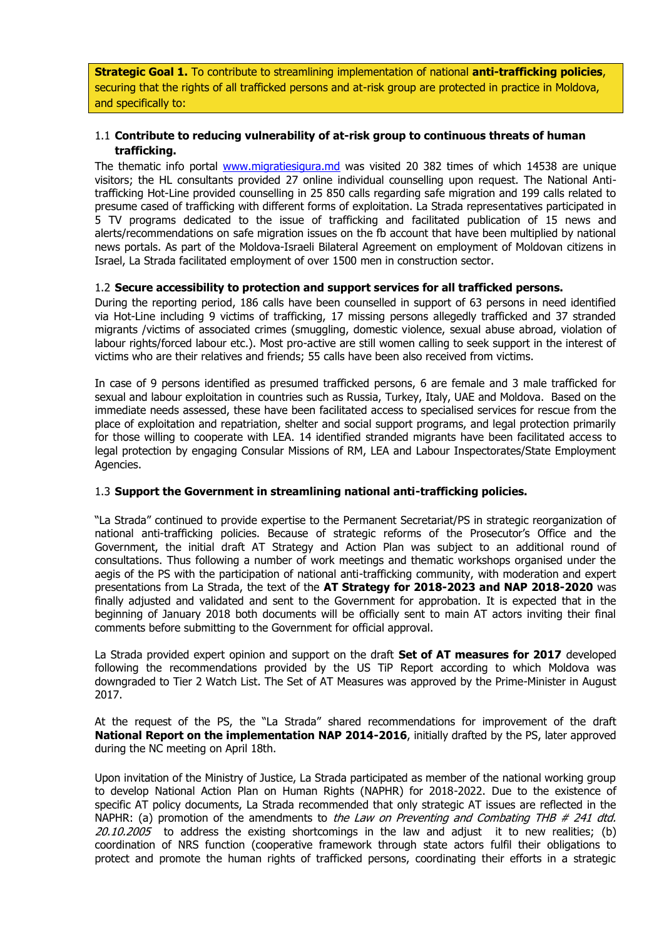**Strategic Goal 1.** To contribute to streamlining implementation of national **anti-trafficking policies**, securing that the rights of all trafficked persons and at-risk group are protected in practice in Moldova, and specifically to:

# 1.1 **Contribute to reducing vulnerability of at-risk group to continuous threats of human trafficking.**

The thematic info portal [www.migratiesigura.md](http://www.migratiesigura.md/) was visited 20 382 times of which 14538 are unique visitors; the HL consultants provided 27 online individual counselling upon request. The National Antitrafficking Hot-Line provided counselling in 25 850 calls regarding safe migration and 199 calls related to presume cased of trafficking with different forms of exploitation. La Strada representatives participated in 5 TV programs dedicated to the issue of trafficking and facilitated publication of 15 news and alerts/recommendations on safe migration issues on the fb account that have been multiplied by national news portals. As part of the Moldova-Israeli Bilateral Agreement on employment of Moldovan citizens in Israel, La Strada facilitated employment of over 1500 men in construction sector.

#### 1.2 **Secure accessibility to protection and support services for all trafficked persons.**

During the reporting period, 186 calls have been counselled in support of 63 persons in need identified via Hot-Line including 9 victims of trafficking, 17 missing persons allegedly trafficked and 37 stranded migrants /victims of associated crimes (smuggling, domestic violence, sexual abuse abroad, violation of labour rights/forced labour etc.). Most pro-active are still women calling to seek support in the interest of victims who are their relatives and friends; 55 calls have been also received from victims.

In case of 9 persons identified as presumed trafficked persons, 6 are female and 3 male trafficked for sexual and labour exploitation in countries such as Russia, Turkey, Italy, UAE and Moldova. Based on the immediate needs assessed, these have been facilitated access to specialised services for rescue from the place of exploitation and repatriation, shelter and social support programs, and legal protection primarily for those willing to cooperate with LEA. 14 identified stranded migrants have been facilitated access to legal protection by engaging Consular Missions of RM, LEA and Labour Inspectorates/State Employment Agencies.

#### 1.3 **Support the Government in streamlining national anti-trafficking policies.**

"La Strada" continued to provide expertise to the Permanent Secretariat/PS in strategic reorganization of national anti-trafficking policies. Because of strategic reforms of the Prosecutor's Office and the Government, the initial draft AT Strategy and Action Plan was subject to an additional round of consultations. Thus following a number of work meetings and thematic workshops organised under the aegis of the PS with the participation of national anti-trafficking community, with moderation and expert presentations from La Strada, the text of the **AT Strategy for 2018-2023 and NAP 2018-2020** was finally adjusted and validated and sent to the Government for approbation. It is expected that in the beginning of January 2018 both documents will be officially sent to main AT actors inviting their final comments before submitting to the Government for official approval.

La Strada provided expert opinion and support on the draft **Set of AT measures for 2017** developed following the recommendations provided by the US TiP Report according to which Moldova was downgraded to Tier 2 Watch List. The Set of AT Measures was approved by the Prime-Minister in August 2017.

At the request of the PS, the "La Strada" shared recommendations for improvement of the draft **National Report on the implementation NAP 2014-2016**, initially drafted by the PS, later approved during the NC meeting on April 18th.

Upon invitation of the Ministry of Justice, La Strada participated as member of the national working group to develop National Action Plan on Human Rights (NAPHR) for 2018-2022. Due to the existence of specific AT policy documents, La Strada recommended that only strategic AT issues are reflected in the NAPHR: (a) promotion of the amendments to the Law on Preventing and Combating THB  $#$  241 dtd.  $20.10.2005$  to address the existing shortcomings in the law and adjust it to new realities; (b) coordination of NRS function (cooperative framework through state actors fulfil their obligations to protect and promote the human rights of trafficked persons, coordinating their efforts in a strategic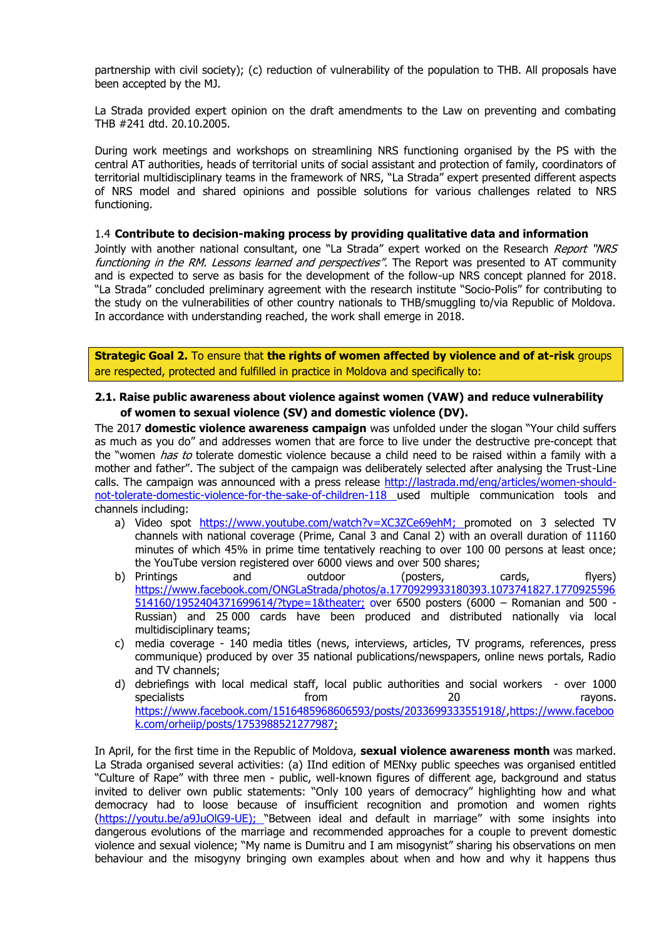partnership with civil society); (c) reduction of vulnerability of the population to THB. All proposals have been accepted by the MJ.

La Strada provided expert opinion on the draft amendments to the Law on preventing and combating THB #241 dtd. 20.10.2005.

During work meetings and workshops on streamlining NRS functioning organised by the PS with the central AT authorities, heads of territorial units of social assistant and protection of family, coordinators of territorial multidisciplinary teams in the framework of NRS, "La Strada" expert presented different aspects of NRS model and shared opinions and possible solutions for various challenges related to NRS functioning.

#### 1.4 **Contribute to decision-making process by providing qualitative data and information**

Jointly with another national consultant, one "La Strada" expert worked on the Research Report "WRS functioning in the RM. Lessons learned and perspectives". The Report was presented to AT community and is expected to serve as basis for the development of the follow-up NRS concept planned for 2018. "La Strada" concluded preliminary agreement with the research institute "Socio-Polis" for contributing to the study on the vulnerabilities of other country nationals to THB/smuggling to/via Republic of Moldova. In accordance with understanding reached, the work shall emerge in 2018.

**Strategic Goal 2.** To ensure that **the rights of women affected by violence and of at-risk** groups are respected, protected and fulfilled in practice in Moldova and specifically to:

#### **2.1. Raise public awareness about violence against women (VAW) and reduce vulnerability of women to sexual violence (SV) and domestic violence (DV).**

The 2017 **domestic violence awareness campaign** was unfolded under the slogan "Your child suffers as much as you do" and addresses women that are force to live under the destructive pre-concept that the "women *has to* tolerate domestic violence because a child need to be raised within a family with a mother and father". The subject of the campaign was deliberately selected after analysing the Trust-Line calls. The campaign was announced with a press release [http://lastrada.md/eng/articles/women-should](http://lastrada.md/eng/articles/women-should-not-tolerate-domestic-violence-for-the-sake-of-children-118)[not-tolerate-domestic-violence-for-the-sake-of-children-118](http://lastrada.md/eng/articles/women-should-not-tolerate-domestic-violence-for-the-sake-of-children-118) used multiple communication tools and channels including:

- a) Video spot [https://www.youtube.com/watch?v=XC3ZCe69ehM;](https://www.youtube.com/watch?v=XC3ZCe69ehM) promoted on 3 selected TV channels with national coverage (Prime, Canal 3 and Canal 2) with an overall duration of 11160 minutes of which 45% in prime time tentatively reaching to over 100 00 persons at least once; the YouTube version registered over 6000 views and over 500 shares;
- b) Printings and outdoor (posters, cards, flyers) [https://www.facebook.com/ONGLaStrada/photos/a.1770929933180393.1073741827.1770925596](https://www.facebook.com/ONGLaStrada/photos/a.1770929933180393.1073741827.1770925596514160/1952404371699614/?type=1&theater) [514160/1952404371699614/?type=1&theater;](https://www.facebook.com/ONGLaStrada/photos/a.1770929933180393.1073741827.1770925596514160/1952404371699614/?type=1&theater) over 6500 posters (6000 – Romanian and 500 - Russian) and 25 000 cards have been produced and distributed nationally via local multidisciplinary teams;
- c) media coverage 140 media titles (news, interviews, articles, TV programs, references, press communique) produced by over 35 national publications/newspapers, online news portals, Radio and TV channels;
- d) debriefings with local medical staff, local public authorities and social workers over 1000 specialists and the specialists from the control of the control of the control of the control of the control o <https://www.facebook.com/1516485968606593/posts/2033699333551918/>[,https://www.faceboo](https://www.facebook.com/orheiip/posts/1753988521277987) [k.com/orheiip/posts/1753988521277987;](https://www.facebook.com/orheiip/posts/1753988521277987)

In April, for the first time in the Republic of Moldova, **sexual violence awareness month** was marked. La Strada organised several activities: (a) IInd edition of MENxy public speeches was organised entitled "Culture of Rape" with three men - public, well-known figures of different age, background and status invited to deliver own public statements: "Only 100 years of democracy" highlighting how and what democracy had to loose because of insufficient recognition and promotion and women rights [\(https://youtu.be/a9JuOlG9-UE\)](https://youtu.be/a9JuOlG9-UE); "Between ideal and default in marriage" with some insights into dangerous evolutions of the marriage and recommended approaches for a couple to prevent domestic violence and sexual violence; "My name is Dumitru and I am misogynist" sharing his observations on men behaviour and the misogyny bringing own examples about when and how and why it happens thus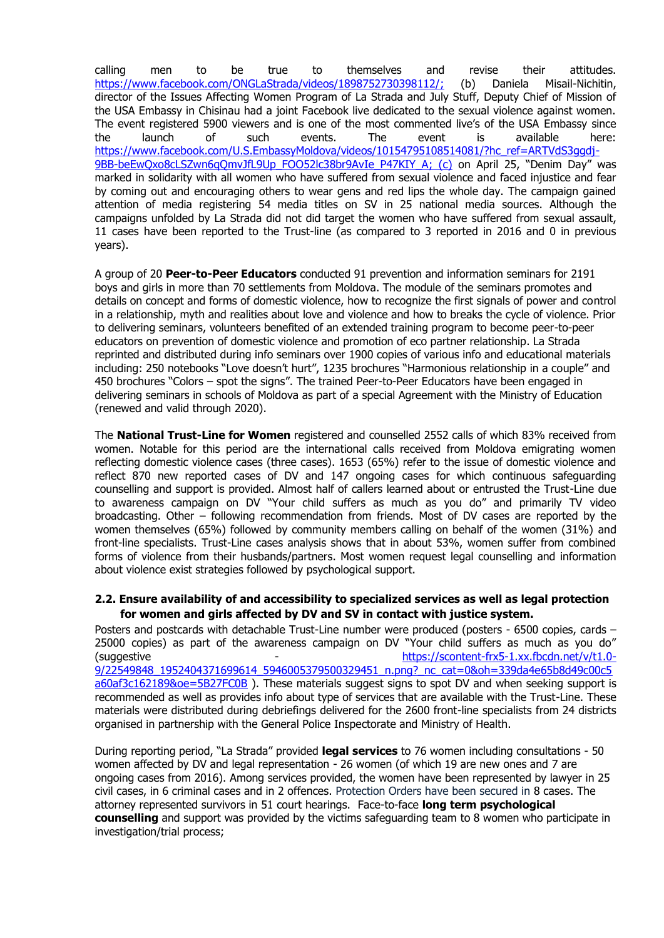calling men to be true to themselves and revise their attitudes. [https://www.facebook.com/ONGLaStrada/videos/1898752730398112/;](https://www.facebook.com/ONGLaStrada/videos/1898752730398112/) (b) Daniela Misail-Nichitin, director of the Issues Affecting Women Program of La Strada and July Stuff, Deputy Chief of Mission of the USA Embassy in Chisinau had a joint Facebook live dedicated to the sexual violence against women. The event registered 5900 viewers and is one of the most commented live's of the USA Embassy since the launch of such events. The event is available here: [https://www.facebook.com/U.S.EmbassyMoldova/videos/10154795108514081/?hc\\_ref=ARTVdS3ggdj-](https://www.facebook.com/U.S.EmbassyMoldova/videos/10154795108514081/?hc_ref=ARTVdS3ggdj-9BB-beEwQxo8cLSZwn6qQmvJfL9Up_FOO52lc38br9AvIe_P47KIY_A)[9BB-beEwQxo8cLSZwn6qQmvJfL9Up\\_FOO52lc38br9AvIe\\_P47KIY\\_A;](https://www.facebook.com/U.S.EmbassyMoldova/videos/10154795108514081/?hc_ref=ARTVdS3ggdj-9BB-beEwQxo8cLSZwn6qQmvJfL9Up_FOO52lc38br9AvIe_P47KIY_A) (c) on April 25, "Denim Day" was marked in solidarity with all women who have suffered from sexual violence and faced injustice and fear by coming out and encouraging others to wear gens and red lips the whole day. The campaign gained attention of media registering 54 media titles on SV in 25 national media sources. Although the campaigns unfolded by La Strada did not did target the women who have suffered from sexual assault, 11 cases have been reported to the Trust-line (as compared to 3 reported in 2016 and 0 in previous years).

A group of 20 **Peer-to-Peer Educators** conducted 91 prevention and information seminars for 2191 boys and girls in more than 70 settlements from Moldova. The module of the seminars promotes and details on concept and forms of domestic violence, how to recognize the first signals of power and control in a relationship, myth and realities about love and violence and how to breaks the cycle of violence. Prior to delivering seminars, volunteers benefited of an extended training program to become peer-to-peer educators on prevention of domestic violence and promotion of eco partner relationship. La Strada reprinted and distributed during info seminars over 1900 copies of various info and educational materials including: 250 notebooks "Love doesn't hurt", 1235 brochures "Harmonious relationship in a couple" and 450 brochures "Colors – spot the signs". The trained Peer-to-Peer Educators have been engaged in delivering seminars in schools of Moldova as part of a special Agreement with the Ministry of Education (renewed and valid through 2020).

The **National Trust-Line for Women** registered and counselled 2552 calls of which 83% received from women. Notable for this period are the international calls received from Moldova emigrating women reflecting domestic violence cases (three cases). 1653 (65%) refer to the issue of domestic violence and reflect 870 new reported cases of DV and 147 ongoing cases for which continuous safeguarding counselling and support is provided. Almost half of callers learned about or entrusted the Trust-Line due to awareness campaign on DV "Your child suffers as much as you do" and primarily TV video broadcasting. Other – following recommendation from friends. Most of DV cases are reported by the women themselves (65%) followed by community members calling on behalf of the women (31%) and front-line specialists. Trust-Line cases analysis shows that in about 53%, women suffer from combined forms of violence from their husbands/partners. Most women request legal counselling and information about violence exist strategies followed by psychological support.

#### **2.2. Ensure availability of and accessibility to specialized services as well as legal protection for women and girls affected by DV and SV in contact with justice system.**

Posters and postcards with detachable Trust-Line number were produced (posters - 6500 copies, cards – 25000 copies) as part of the awareness campaign on DV "Your child suffers as much as you do" (suggestive - [https://scontent-frx5-1.xx.fbcdn.net/v/t1.0-](https://scontent-frx5-1.xx.fbcdn.net/v/t1.0-9/22549848_1952404371699614_5946005379500329451_n.png?_nc_cat=0&oh=339da4e65b8d49c00c5a60af3c162189&oe=5B27FC0B) [9/22549848\\_1952404371699614\\_5946005379500329451\\_n.png?\\_nc\\_cat=0&oh=339da4e65b8d49c00c5](https://scontent-frx5-1.xx.fbcdn.net/v/t1.0-9/22549848_1952404371699614_5946005379500329451_n.png?_nc_cat=0&oh=339da4e65b8d49c00c5a60af3c162189&oe=5B27FC0B) [a60af3c162189&oe=5B27FC0B](https://scontent-frx5-1.xx.fbcdn.net/v/t1.0-9/22549848_1952404371699614_5946005379500329451_n.png?_nc_cat=0&oh=339da4e65b8d49c00c5a60af3c162189&oe=5B27FC0B) ). These materials suggest signs to spot DV and when seeking support is recommended as well as provides info about type of services that are available with the Trust-Line. These materials were distributed during debriefings delivered for the 2600 front-line specialists from 24 districts organised in partnership with the General Police Inspectorate and Ministry of Health.

During reporting period, "La Strada" provided **legal services** to 76 women including consultations - 50 women affected by DV and legal representation - 26 women (of which 19 are new ones and 7 are ongoing cases from 2016). Among services provided, the women have been represented by lawyer in 25 civil cases, in 6 criminal cases and in 2 offences. Protection Orders have been secured in 8 cases. The attorney represented survivors in 51 court hearings. Face-to-face **long term psychological counselling** and support was provided by the victims safeguarding team to 8 women who participate in investigation/trial process;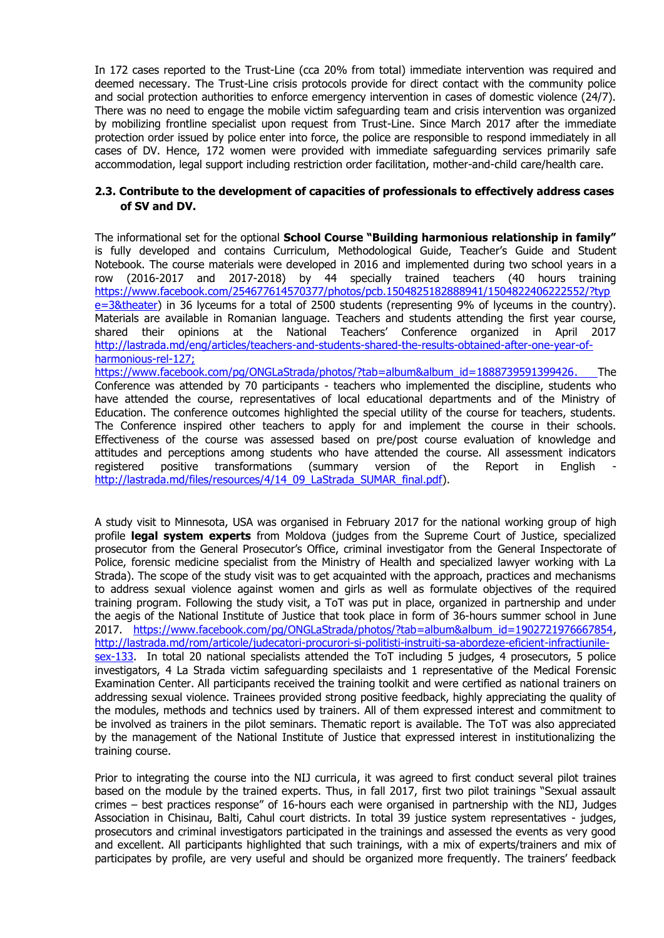In 172 cases reported to the Trust-Line (cca 20% from total) immediate intervention was required and deemed necessary. The Trust-Line crisis protocols provide for direct contact with the community police and social protection authorities to enforce emergency intervention in cases of domestic violence (24/7). There was no need to engage the mobile victim safeguarding team and crisis intervention was organized by mobilizing frontline specialist upon request from Trust-Line. Since March 2017 after the immediate protection order issued by police enter into force, the police are responsible to respond immediately in all cases of DV. Hence, 172 women were provided with immediate safeguarding services primarily safe accommodation, legal support including restriction order facilitation, mother-and-child care/health care.

# **2.3. Contribute to the development of capacities of professionals to effectively address cases of SV and DV.**

The informational set for the optional **School Course "Building harmonious relationship in family"** is fully developed and contains Curriculum, Methodological Guide, Teacher's Guide and Student Notebook. The course materials were developed in 2016 and implemented during two school years in a row (2016-2017 and 2017-2018) by 44 specially trained teachers (40 hours training [https://www.facebook.com/254677614570377/photos/pcb.1504825182888941/1504822406222552/?typ](https://www.facebook.com/254677614570377/photos/pcb.1504825182888941/1504822406222552/?type=3&theater) [e=3&theater\)](https://www.facebook.com/254677614570377/photos/pcb.1504825182888941/1504822406222552/?type=3&theater) in 36 lyceums for a total of 2500 students (representing 9% of lyceums in the country). Materials are available in Romanian language. Teachers and students attending the first year course, shared their opinions at the National Teachers' Conference organized in April 2017 [http://lastrada.md/eng/articles/teachers-and-students-shared-the-results-obtained-after-one-year-of](http://lastrada.md/eng/articles/teachers-and-students-shared-the-results-obtained-after-one-year-of-harmonious-rel-127)[harmonious-rel-127;](http://lastrada.md/eng/articles/teachers-and-students-shared-the-results-obtained-after-one-year-of-harmonious-rel-127) [https://www.facebook.com/pg/ONGLaStrada/photos/?tab=album&album\\_id=1888739591399426.](https://www.facebook.com/pg/ONGLaStrada/photos/?tab=album&album_id=1888739591399426) The

Conference was attended by 70 participants - teachers who implemented the discipline, students who have attended the course, representatives of local educational departments and of the Ministry of Education. The conference outcomes highlighted the special utility of the course for teachers, students. The Conference inspired other teachers to apply for and implement the course in their schools. Effectiveness of the course was assessed based on pre/post course evaluation of knowledge and attitudes and perceptions among students who have attended the course. All assessment indicators registered positive transformations (summary version of the Report in English [http://lastrada.md/files/resources/4/14\\_09\\_LaStrada\\_SUMAR\\_final.pdf\)](http://lastrada.md/files/resources/4/14_09_LaStrada_SUMAR_final.pdf).

A study visit to Minnesota, USA was organised in February 2017 for the national working group of high profile **legal system experts** from Moldova (judges from the Supreme Court of Justice, specialized prosecutor from the General Prosecutor's Office, criminal investigator from the General Inspectorate of Police, forensic medicine specialist from the Ministry of Health and specialized lawyer working with La Strada). The scope of the study visit was to get acquainted with the approach, practices and mechanisms to address sexual violence against women and girls as well as formulate objectives of the required training program. Following the study visit, a ToT was put in place, organized in partnership and under the aegis of the National Institute of Justice that took place in form of 36-hours summer school in June 2017. [https://www.facebook.com/pg/ONGLaStrada/photos/?tab=album&album\\_id=1902721976667854,](https://www.facebook.com/pg/ONGLaStrada/photos/?tab=album&album_id=1902721976667854) [http://lastrada.md/rom/articole/judecatori-procurori-si-politisti-instruiti-sa-abordeze-eficient-infractiunile](http://lastrada.md/rom/articole/judecatori-procurori-si-politisti-instruiti-sa-abordeze-eficient-infractiunile-sex-133)[sex-133.](http://lastrada.md/rom/articole/judecatori-procurori-si-politisti-instruiti-sa-abordeze-eficient-infractiunile-sex-133) In total 20 national specialists attended the ToT including 5 judges, 4 prosecutors, 5 police investigators, 4 La Strada victim safeguarding specilaists and 1 representative of the Medical Forensic Examination Center. All participants received the training toolkit and were certified as national trainers on addressing sexual violence. Trainees provided strong positive feedback, highly appreciating the quality of the modules, methods and technics used by trainers. All of them expressed interest and commitment to be involved as trainers in the pilot seminars. Thematic report is available. The ToT was also appreciated by the management of the National Institute of Justice that expressed interest in institutionalizing the training course.

Prior to integrating the course into the NIJ curricula, it was agreed to first conduct several pilot traines based on the module by the trained experts. Thus, in fall 2017, first two pilot trainings "Sexual assault crimes – best practices response" of 16-hours each were organised in partnership with the NIJ, Judges Association in Chisinau, Balti, Cahul court districts. In total 39 justice system representatives - judges, prosecutors and criminal investigators participated in the trainings and assessed the events as very good and excellent. All participants highlighted that such trainings, with a mix of experts/trainers and mix of participates by profile, are very useful and should be organized more frequently. The trainers' feedback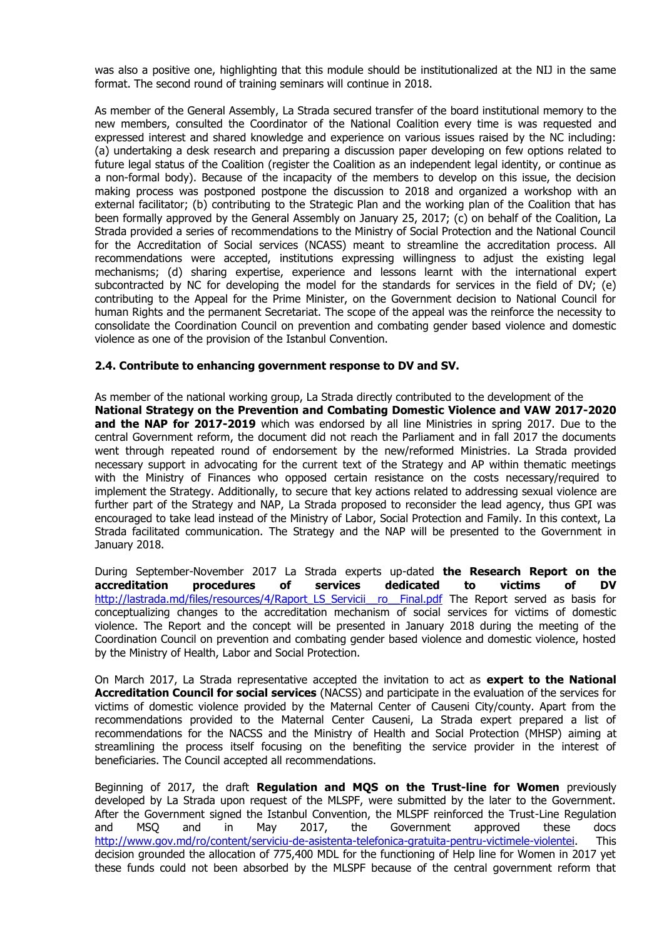was also a positive one, highlighting that this module should be institutionalized at the NIJ in the same format. The second round of training seminars will continue in 2018.

As member of the General Assembly, La Strada secured transfer of the board institutional memory to the new members, consulted the Coordinator of the National Coalition every time is was requested and expressed interest and shared knowledge and experience on various issues raised by the NC including: (a) undertaking a desk research and preparing a discussion paper developing on few options related to future legal status of the Coalition (register the Coalition as an independent legal identity, or continue as a non-formal body). Because of the incapacity of the members to develop on this issue, the decision making process was postponed postpone the discussion to 2018 and organized a workshop with an external facilitator; (b) contributing to the Strategic Plan and the working plan of the Coalition that has been formally approved by the General Assembly on January 25, 2017; (c) on behalf of the Coalition, La Strada provided a series of recommendations to the Ministry of Social Protection and the National Council for the Accreditation of Social services (NCASS) meant to streamline the accreditation process. All recommendations were accepted, institutions expressing willingness to adjust the existing legal mechanisms; (d) sharing expertise, experience and lessons learnt with the international expert subcontracted by NC for developing the model for the standards for services in the field of DV; (e) contributing to the Appeal for the Prime Minister, on the Government decision to National Council for human Rights and the permanent Secretariat. The scope of the appeal was the reinforce the necessity to consolidate the Coordination Council on prevention and combating gender based violence and domestic violence as one of the provision of the Istanbul Convention.

# **2.4. Contribute to enhancing government response to DV and SV.**

As member of the national working group, La Strada directly contributed to the development of the **National Strategy on the Prevention and Combating Domestic Violence and VAW 2017-2020 and the NAP for 2017-2019** which was endorsed by all line Ministries in spring 2017. Due to the central Government reform, the document did not reach the Parliament and in fall 2017 the documents went through repeated round of endorsement by the new/reformed Ministries. La Strada provided necessary support in advocating for the current text of the Strategy and AP within thematic meetings with the Ministry of Finances who opposed certain resistance on the costs necessary/required to implement the Strategy. Additionally, to secure that key actions related to addressing sexual violence are further part of the Strategy and NAP, La Strada proposed to reconsider the lead agency, thus GPI was encouraged to take lead instead of the Ministry of Labor, Social Protection and Family. In this context, La Strada facilitated communication. The Strategy and the NAP will be presented to the Government in January 2018.

During September-November 2017 La Strada experts up-dated **the Research Report on the accreditation procedures of services dedicated to victims of DV** http://lastrada.md/files/resources/4/Raport\_LS\_Servicii\_ ro\_\_Final.pdf The Report served as basis for conceptualizing changes to the accreditation mechanism of social services for victims of domestic violence. The Report and the concept will be presented in January 2018 during the meeting of the Coordination Council on prevention and combating gender based violence and domestic violence, hosted by the Ministry of Health, Labor and Social Protection.

On March 2017, La Strada representative accepted the invitation to act as **expert to the National Accreditation Council for social services** (NACSS) and participate in the evaluation of the services for victims of domestic violence provided by the Maternal Center of Causeni City/county. Apart from the recommendations provided to the Maternal Center Causeni, La Strada expert prepared a list of recommendations for the NACSS and the Ministry of Health and Social Protection (MHSP) aiming at streamlining the process itself focusing on the benefiting the service provider in the interest of beneficiaries. The Council accepted all recommendations.

Beginning of 2017, the draft **Regulation and MQS on the Trust-line for Women** previously developed by La Strada upon request of the MLSPF, were submitted by the later to the Government. After the Government signed the Istanbul Convention, the MLSPF reinforced the Trust-Line Regulation and MSQ and in May 2017, the Government approved these docs [http://www.gov.md/ro/content/serviciu-de-asistenta-telefonica-gratuita-pentru-victimele-violentei.](http://www.gov.md/ro/content/serviciu-de-asistenta-telefonica-gratuita-pentru-victimele-violentei) This decision grounded the allocation of 775,400 MDL for the functioning of Help line for Women in 2017 yet these funds could not been absorbed by the MLSPF because of the central government reform that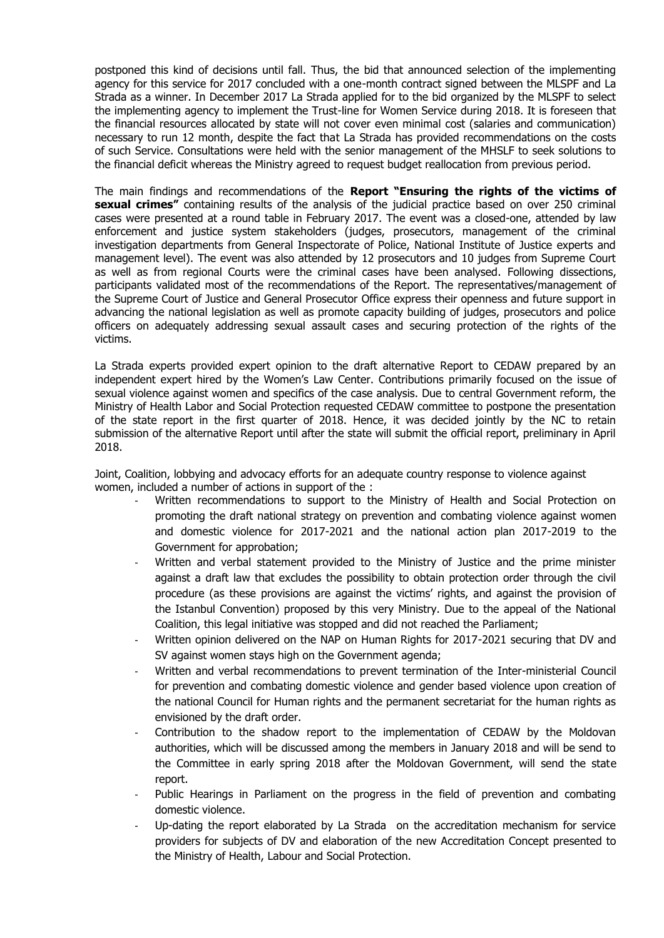postponed this kind of decisions until fall. Thus, the bid that announced selection of the implementing agency for this service for 2017 concluded with a one-month contract signed between the MLSPF and La Strada as a winner. In December 2017 La Strada applied for to the bid organized by the MLSPF to select the implementing agency to implement the Trust-line for Women Service during 2018. It is foreseen that the financial resources allocated by state will not cover even minimal cost (salaries and communication) necessary to run 12 month, despite the fact that La Strada has provided recommendations on the costs of such Service. Consultations were held with the senior management of the MHSLF to seek solutions to the financial deficit whereas the Ministry agreed to request budget reallocation from previous period.

The main findings and recommendations of the **Report "Ensuring the rights of the victims of sexual crimes"** containing results of the analysis of the judicial practice based on over 250 criminal cases were presented at a round table in February 2017. The event was a closed-one, attended by law enforcement and justice system stakeholders (judges, prosecutors, management of the criminal investigation departments from General Inspectorate of Police, National Institute of Justice experts and management level). The event was also attended by 12 prosecutors and 10 judges from Supreme Court as well as from regional Courts were the criminal cases have been analysed. Following dissections, participants validated most of the recommendations of the Report. The representatives/management of the Supreme Court of Justice and General Prosecutor Office express their openness and future support in advancing the national legislation as well as promote capacity building of judges, prosecutors and police officers on adequately addressing sexual assault cases and securing protection of the rights of the victims.

La Strada experts provided expert opinion to the draft alternative Report to CEDAW prepared by an independent expert hired by the Women's Law Center. Contributions primarily focused on the issue of sexual violence against women and specifics of the case analysis. Due to central Government reform, the Ministry of Health Labor and Social Protection requested CEDAW committee to postpone the presentation of the state report in the first quarter of 2018. Hence, it was decided jointly by the NC to retain submission of the alternative Report until after the state will submit the official report, preliminary in April 2018.

Joint, Coalition, lobbying and advocacy efforts for an adequate country response to violence against women, included a number of actions in support of the :

- Written recommendations to support to the Ministry of Health and Social Protection on promoting the draft national strategy on prevention and combating violence against women and domestic violence for 2017-2021 and the national action plan 2017-2019 to the Government for approbation;
- Written and verbal statement provided to the Ministry of Justice and the prime minister against a draft law that excludes the possibility to obtain protection order through the civil procedure (as these provisions are against the victims' rights, and against the provision of the Istanbul Convention) proposed by this very Ministry. Due to the appeal of the National Coalition, this legal initiative was stopped and did not reached the Parliament;
- Written opinion delivered on the NAP on Human Rights for 2017-2021 securing that DV and SV against women stays high on the Government agenda;
- Written and verbal recommendations to prevent termination of the Inter-ministerial Council for prevention and combating domestic violence and gender based violence upon creation of the national Council for Human rights and the permanent secretariat for the human rights as envisioned by the draft order.
- Contribution to the shadow report to the implementation of CEDAW by the Moldovan authorities, which will be discussed among the members in January 2018 and will be send to the Committee in early spring 2018 after the Moldovan Government, will send the state report.
- Public Hearings in Parliament on the progress in the field of prevention and combating domestic violence.
- Up-dating the report elaborated by La Strada on the accreditation mechanism for service providers for subjects of DV and elaboration of the new Accreditation Concept presented to the Ministry of Health, Labour and Social Protection.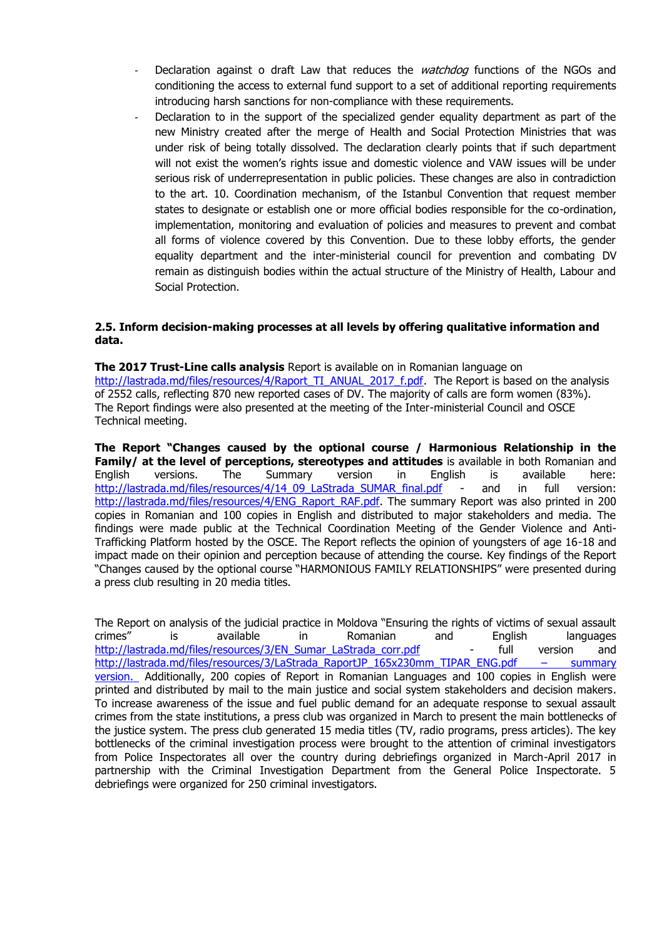- Declaration against o draft Law that reduces the *watchdog* functions of the NGOs and conditioning the access to external fund support to a set of additional reporting requirements introducing harsh sanctions for non-compliance with these requirements.
- Declaration to in the support of the specialized gender equality department as part of the new Ministry created after the merge of Health and Social Protection Ministries that was under risk of being totally dissolved. The declaration clearly points that if such department will not exist the women's rights issue and domestic violence and VAW issues will be under serious risk of underrepresentation in public policies. These changes are also in contradiction to the art. 10. Coordination mechanism, of the Istanbul Convention that request member states to designate or establish one or more official bodies responsible for the co-ordination, implementation, monitoring and evaluation of policies and measures to prevent and combat all forms of violence covered by this Convention. Due to these lobby efforts, the gender equality department and the inter-ministerial council for prevention and combating DV remain as distinguish bodies within the actual structure of the Ministry of Health, Labour and Social Protection.

# **2.5. Inform decision-making processes at all levels by offering qualitative information and data.**

**The 2017 Trust-Line calls analysis** Report is available on in Romanian language on [http://lastrada.md/files/resources/4/Raport\\_TI\\_ANUAL\\_2017\\_f.pdf.](http://lastrada.md/files/resources/4/Raport_TI_ANUAL_2017_f.pdf) The Report is based on the analysis of 2552 calls, reflecting 870 new reported cases of DV. The majority of calls are form women (83%). The Report findings were also presented at the meeting of the Inter-ministerial Council and OSCE Technical meeting.

**The Report "Changes caused by the optional course / Harmonious Relationship in the Family/ at the level of perceptions, stereotypes and attitudes** is available in both Romanian and English versions. The Summary version in English is available here: [http://lastrada.md/files/resources/4/14\\_09\\_LaStrada\\_SUMAR\\_final.pdf](http://lastrada.md/files/resources/4/14_09_LaStrada_SUMAR_final.pdf) - and in full version: [http://lastrada.md/files/resources/4/ENG\\_Raport\\_RAF.pdf.](http://lastrada.md/files/resources/4/ENG_Raport_RAF.pdf) The summary Report was also printed in 200 copies in Romanian and 100 copies in English and distributed to major stakeholders and media. The findings were made public at the Technical Coordination Meeting of the Gender Violence and Anti-Trafficking Platform hosted by the OSCE. The Report reflects the opinion of youngsters of age 16-18 and impact made on their opinion and perception because of attending the course. Key findings of the Report "Changes caused by the optional course "HARMONIOUS FAMILY RELATIONSHIPS" were presented during a press club resulting in 20 media titles.

The Report on analysis of the judicial practice in Moldova "Ensuring the rights of victims of sexual assault crimes" is available in Romanian and English languages [http://lastrada.md/files/resources/3/EN\\_Sumar\\_LaStrada\\_corr.pdf](http://lastrada.md/files/resources/3/EN_Sumar_LaStrada_corr.pdf) - full version and [http://lastrada.md/files/resources/3/LaStrada\\_RaportJP\\_165x230mm\\_TIPAR\\_ENG.pdf](http://lastrada.md/files/resources/3/LaStrada_RaportJP_165x230mm_TIPAR_ENG.pdf) – summary version. Additionally, 200 copies of Report in Romanian Languages and 100 copies in English were printed and distributed by mail to the main justice and social system stakeholders and decision makers. To increase awareness of the issue and fuel public demand for an adequate response to sexual assault crimes from the state institutions, a press club was organized in March to present the main bottlenecks of the justice system. The press club generated 15 media titles (TV, radio programs, press articles). The key bottlenecks of the criminal investigation process were brought to the attention of criminal investigators from Police Inspectorates all over the country during debriefings organized in March-April 2017 in partnership with the Criminal Investigation Department from the General Police Inspectorate. 5 debriefings were organized for 250 criminal investigators.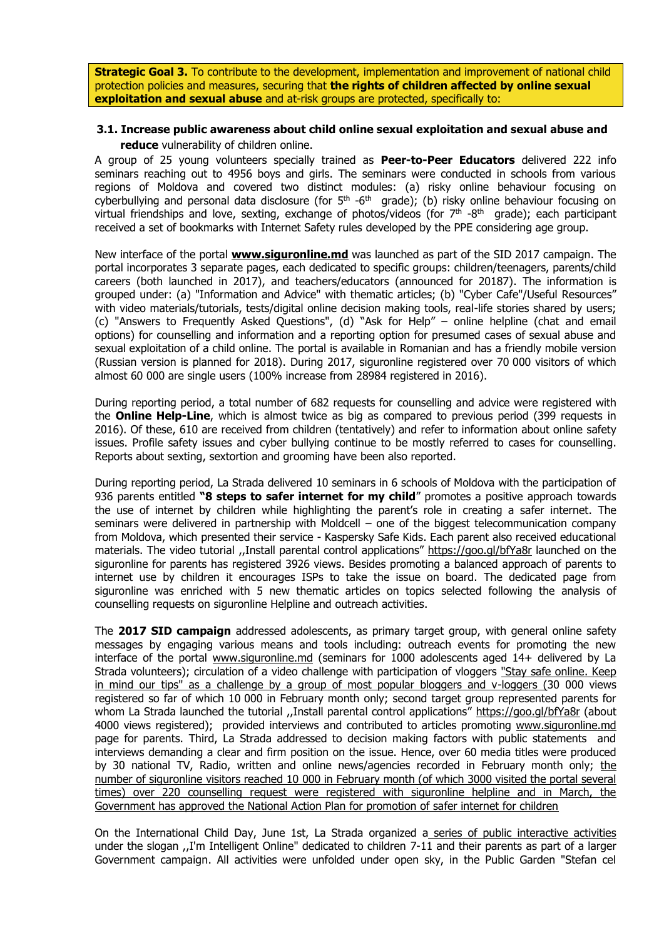**Strategic Goal 3.** To contribute to the development, implementation and improvement of national child protection policies and measures, securing that **the rights of children affected by online sexual exploitation and sexual abuse** and at-risk groups are protected, specifically to:

#### **3.1. Increase public awareness about child online sexual exploitation and sexual abuse and reduce** vulnerability of children online.

A group of 25 young volunteers specially trained as **Peer-to-Peer Educators** delivered 222 info seminars reaching out to 4956 boys and girls. The seminars were conducted in schools from various regions of Moldova and covered two distinct modules: (a) risky online behaviour focusing on cyberbullying and personal data disclosure (for  $5<sup>th</sup>$  -6<sup>th</sup> grade); (b) risky online behaviour focusing on virtual friendships and love, sexting, exchange of photos/videos (for  $7<sup>th</sup>$  -8<sup>th</sup> grade); each participant received a set of bookmarks with Internet Safety rules developed by the PPE considering age group.

New interface of the portal **[www.siguronline.md](http://www.siguronline.md/)** was launched as part of the SID 2017 campaign. The portal incorporates 3 separate pages, each dedicated to specific groups: children/teenagers, parents/child careers (both launched in 2017), and teachers/educators (announced for 20187). The information is grouped under: (a) "Information and Advice" with thematic articles; (b) "Cyber Cafe"/Useful Resources" with video materials/tutorials, tests/digital online decision making tools, real-life stories shared by users; (c) "Answers to Frequently Asked Questions", (d) "Ask for Help" – online helpline (chat and email options) for counselling and information and a reporting option for presumed cases of sexual abuse and sexual exploitation of a child online. The portal is available in Romanian and has a friendly mobile version (Russian version is planned for 2018). During 2017, siguronline registered over 70 000 visitors of which almost 60 000 are single users (100% increase from 28984 registered in 2016).

During reporting period, a total number of 682 requests for counselling and advice were registered with the **Online Help-Line**, which is almost twice as big as compared to previous period (399 requests in 2016). Of these, 610 are received from children (tentatively) and refer to information about online safety issues. Profile safety issues and cyber bullying continue to be mostly referred to cases for counselling. Reports about sexting, sextortion and grooming have been also reported.

During reporting period, La Strada delivered 10 seminars in 6 schools of Moldova with the participation of 936 parents entitled **"8 steps to safer internet for my child**" promotes a positive approach towards the use of internet by children while highlighting the parent's role in creating a safer internet. The seminars were delivered in partnership with Moldcell – one of the biggest telecommunication company from Moldova, which presented their service - Kaspersky Safe Kids. Each parent also received educational materials. The video tutorial ,,Install parental control applications" <https://goo.gl/bfYa8r> launched on the siguronline for parents has registered 3926 views. Besides promoting a balanced approach of parents to internet use by children it encourages ISPs to take the issue on board. The dedicated page from siguronline was enriched with 5 new thematic articles on topics selected following the analysis of counselling requests on siguronline Helpline and outreach activities.

The **2017 SID campaign** addressed adolescents, as primary target group, with general online safety messages by engaging various means and tools including: outreach events for promoting the new interface of the portal [www.siguronline.md](http://www.siguronline.md/) (seminars for 1000 adolescents aged 14+ delivered by La Strada volunteers); circulation of a video challenge with participation of vloggers ["Stay safe online. Keep](http://lastrada.md/rom/articole/un-grup-de-vloggeri-si-bloggeri-din-r-moldova-lanseaza-o-provocare-adresata-copiil-115)  [in mind our tips" as a challenge by a group of most popular bloggers and v-loggers](http://lastrada.md/rom/articole/un-grup-de-vloggeri-si-bloggeri-din-r-moldova-lanseaza-o-provocare-adresata-copiil-115) (30 000 views registered so far of which 10 000 in February month only; second target group represented parents for whom La Strada launched the tutorial ,,Install parental control applications" <https://goo.gl/bfYa8r> (about 4000 views registered); provided interviews and contributed to articles promoting www.siguronline.md page for parents. Third, La Strada addressed to decision making factors with public statements and interviews demanding a clear and firm position on the issue. Hence, over 60 media titles were produced by 30 national TV, Radio, written and online news/agencies recorded in February month only; the number of siguronline visitors reached 10 000 in February month (of which 3000 visited the portal several times) over 220 counselling request were registered with siguronline helpline and in March, the Government has approved the National Action Plan for promotion of safer internet for children

On the International Child Day, June 1st, La Strada organized a [series of public interactive activities](http://lastrada.md/rom/articole/concursuri-pentru-copii-si-parinti-la-cortul-la-strada-130) under the slogan ,,I'm Intelligent Online" dedicated to children 7-11 and their parents as part of a larger Government campaign. All activities were unfolded under open sky, in the Public Garden "Stefan cel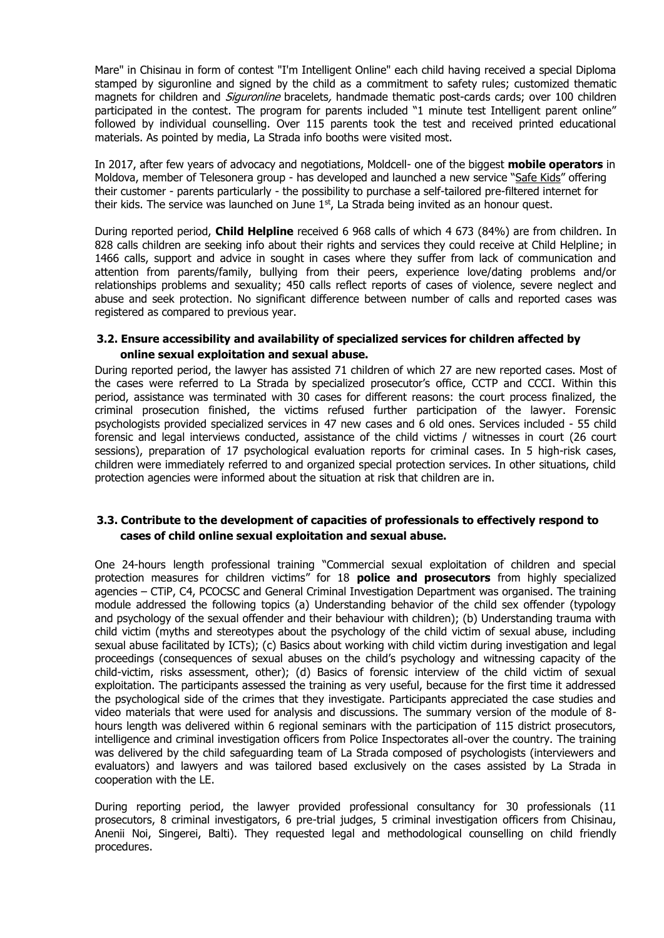Mare" in Chisinau in form of contest "I'm Intelligent Online" each child having received a special Diploma stamped by siguronline and signed by the child as a commitment to safety rules; customized thematic magnets for children and *Siguronline* bracelets, handmade thematic post-cards cards; over 100 children participated in the contest. The program for parents included "1 minute test Intelligent parent online" followed by individual counselling. Over 115 parents took the test and received printed educational materials. As pointed by media, La Strada info booths were visited most.

In 2017, after few years of advocacy and negotiations, Moldcell- one of the biggest **mobile operators** in Moldova, member of Telesonera group - has developed and launched a new service "[Safe Kids](https://www.facebook.com/Moldcell/videos/10158802035480475/?autoplay_reason=user_settings&video_container_type=0&video_creator_product_type=2&app_id=2392950137&live_video_guests=0)" offering their customer - parents particularly - the possibility to purchase a self-tailored pre-filtered internet for their kids. The service was launched on June  $1<sup>st</sup>$ , La Strada being invited as an honour quest.

During reported period, **Child Helpline** received 6 968 calls of which 4 673 (84%) are from children. In 828 calls children are seeking info about their rights and services they could receive at Child Helpline; in 1466 calls, support and advice in sought in cases where they suffer from lack of communication and attention from parents/family, bullying from their peers, experience love/dating problems and/or relationships problems and sexuality; 450 calls reflect reports of cases of violence, severe neglect and abuse and seek protection. No significant difference between number of calls and reported cases was registered as compared to previous year.

# **3.2. Ensure accessibility and availability of specialized services for children affected by online sexual exploitation and sexual abuse.**

During reported period, the lawyer has assisted 71 children of which 27 are new reported cases. Most of the cases were referred to La Strada by specialized prosecutor's office, CCTP and CCCI. Within this period, assistance was terminated with 30 cases for different reasons: the court process finalized, the criminal prosecution finished, the victims refused further participation of the lawyer. Forensic psychologists provided specialized services in 47 new cases and 6 old ones. Services included - 55 child forensic and legal interviews conducted, assistance of the child victims / witnesses in court (26 court sessions), preparation of 17 psychological evaluation reports for criminal cases. In 5 high-risk cases, children were immediately referred to and organized special protection services. In other situations, child protection agencies were informed about the situation at risk that children are in.

# **3.3. Contribute to the development of capacities of professionals to effectively respond to cases of child online sexual exploitation and sexual abuse.**

One 24-hours length professional training "Commercial sexual exploitation of children and special protection measures for children victims" for 18 **police and prosecutors** from highly specialized agencies – CTiP, C4, PCOCSC and General Criminal Investigation Department was organised. The training module addressed the following topics (a) Understanding behavior of the child sex offender (typology and psychology of the sexual offender and their behaviour with children); (b) Understanding trauma with child victim (myths and stereotypes about the psychology of the child victim of sexual abuse, including sexual abuse facilitated by ICTs); (c) Basics about working with child victim during investigation and legal proceedings (consequences of sexual abuses on the child's psychology and witnessing capacity of the child-victim, risks assessment, other); (d) Basics of forensic interview of the child victim of sexual exploitation. The participants assessed the training as very useful, because for the first time it addressed the psychological side of the crimes that they investigate. Participants appreciated the case studies and video materials that were used for analysis and discussions. The summary version of the module of 8 hours length was delivered within 6 regional seminars with the participation of 115 district prosecutors, intelligence and criminal investigation officers from Police Inspectorates all-over the country. The training was delivered by the child safeguarding team of La Strada composed of psychologists (interviewers and evaluators) and lawyers and was tailored based exclusively on the cases assisted by La Strada in cooperation with the LE.

During reporting period, the lawyer provided professional consultancy for 30 professionals (11 prosecutors, 8 criminal investigators, 6 pre-trial judges, 5 criminal investigation officers from Chisinau, Anenii Noi, Singerei, Balti). They requested legal and methodological counselling on child friendly procedures.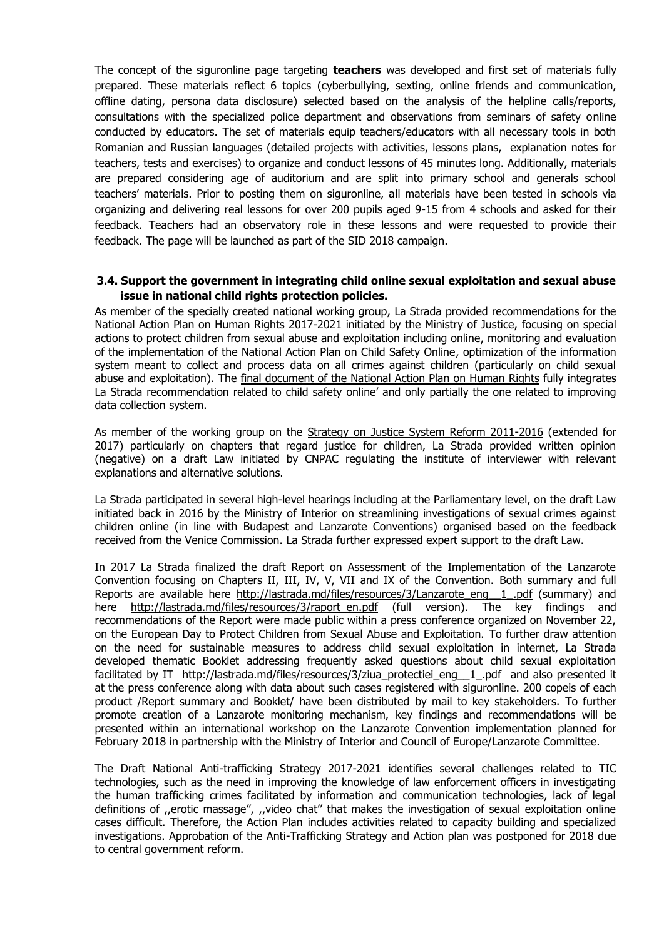The concept of the siguronline page targeting **teachers** was developed and first set of materials fully prepared. These materials reflect 6 topics (cyberbullying, sexting, online friends and communication, offline dating, persona data disclosure) selected based on the analysis of the helpline calls/reports, consultations with the specialized police department and observations from seminars of safety online conducted by educators. The set of materials equip teachers/educators with all necessary tools in both Romanian and Russian languages (detailed projects with activities, lessons plans, explanation notes for teachers, tests and exercises) to organize and conduct lessons of 45 minutes long. Additionally, materials are prepared considering age of auditorium and are split into primary school and generals school teachers' materials. Prior to posting them on siguronline, all materials have been tested in schools via organizing and delivering real lessons for over 200 pupils aged 9-15 from 4 schools and asked for their feedback. Teachers had an observatory role in these lessons and were requested to provide their feedback. The page will be launched as part of the SID 2018 campaign.

# **3.4. Support the government in integrating child online sexual exploitation and sexual abuse issue in national child rights protection policies.**

As member of the specially created national working group, La Strada provided recommendations for the National Action Plan on Human Rights 2017-2021 initiated by the Ministry of Justice, focusing on special actions to protect children from sexual abuse and exploitation including online, monitoring and evaluation of the implementation of the National Action Plan on Child Safety Online, optimization of the information system meant to collect and process data on all crimes against children (particularly on child sexual abuse and exploitation). The [final document of the National Action Plan on Human Rights](http://www.gov.md/sites/default/files/document/attachments/intr21_81.pdf) fully integrates La Strada recommendation related to child safety online' and only partially the one related to improving data collection system.

As member of the working group on the [Strategy on Justice System Reform 2011-2016](http://www.justice.gov.md/public/files/file/reforma_sectorul_justitiei/srsj_pa_srsj/SRSJen.pdf) (extended for 2017) particularly on chapters that regard justice for children, La Strada provided written opinion (negative) on a draft Law initiated by CNPAC regulating the institute of interviewer with relevant explanations and alternative solutions.

La Strada participated in several high-level hearings including at the Parliamentary level, on the draft Law initiated back in 2016 by the Ministry of Interior on streamlining investigations of sexual crimes against children online (in line with Budapest and Lanzarote Conventions) organised based on the feedback received from the Venice Commission. La Strada further expressed expert support to the draft Law.

In 2017 La Strada finalized the draft Report on Assessment of the Implementation of the Lanzarote Convention focusing on Chapters II, III, IV, V, VII and IX of the Convention. Both summary and full Reports are available here http://lastrada.md/files/resources/3/Lanzarote\_eng\_1\_.pdf (summary) and here [http://lastrada.md/files/resources/3/raport\\_en.pdf](http://lastrada.md/files/resources/3/raport_en.pdf) (full version). The key findings and recommendations of the Report were made public within a press conference organized on November 22, on the European Day to Protect Children from Sexual Abuse and Exploitation. To further draw attention on the need for sustainable measures to address child sexual exploitation in internet, La Strada developed thematic Booklet addressing frequently asked questions about child sexual exploitation facilitated by IT http://lastrada.md/files/resources/3/ziua protectiei eng 1.pdf and also presented it at the press conference along with data about such cases registered with siguronline. 200 copeis of each product /Report summary and Booklet/ have been distributed by mail to key stakeholders. To further promote creation of a Lanzarote monitoring mechanism, key findings and recommendations will be presented within an international workshop on the Lanzarote Convention implementation planned for February 2018 in partnership with the Ministry of Interior and Council of Europe/Lanzarote Committee.

[The Draft National Anti-trafficking Strategy 2017-2021](http://antitrafic.gov.md/public/files/Proiect-Strategia_2017-2022.pdf) identifies several challenges related to TIC technologies, such as the need in improving the knowledge of law enforcement officers in investigating the human trafficking crimes facilitated by information and communication technologies, lack of legal definitions of ,,erotic massage", ,,video chat'' that makes the investigation of sexual exploitation online cases difficult. Therefore, the Action Plan includes activities related to capacity building and specialized investigations. Approbation of the Anti-Trafficking Strategy and Action plan was postponed for 2018 due to central government reform.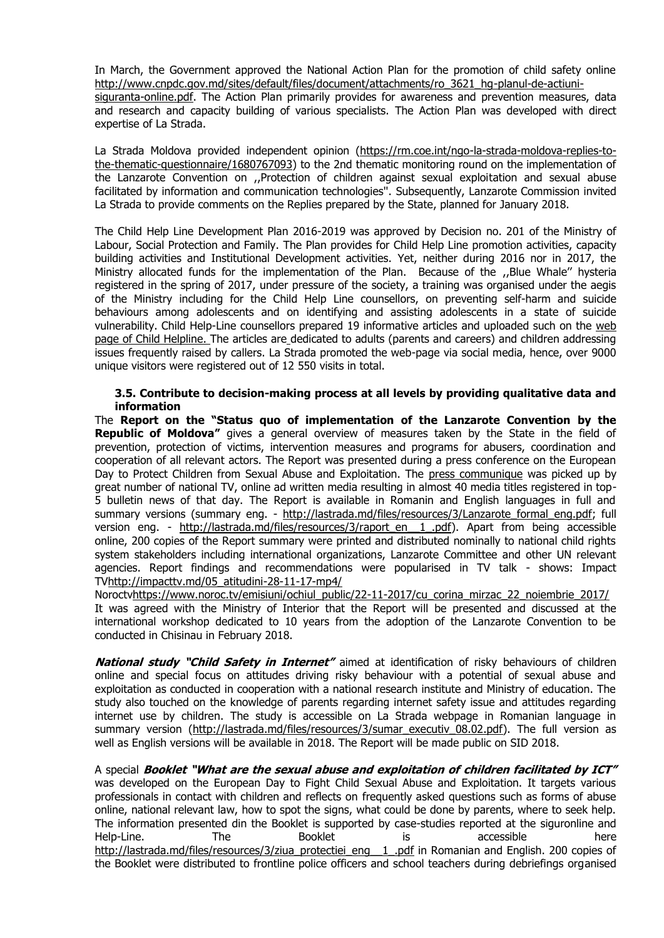In March, the Government approved the National Action Plan for the promotion of child safety online [http://www.cnpdc.gov.md/sites/default/files/document/attachments/ro\\_3621\\_hg-planul-de-actiuni-](http://www.cnpdc.gov.md/sites/default/files/document/attachments/ro_3621_hg-planul-de-actiuni-siguranta-online.pdf)

[siguranta-online.pdf.](http://www.cnpdc.gov.md/sites/default/files/document/attachments/ro_3621_hg-planul-de-actiuni-siguranta-online.pdf) The Action Plan primarily provides for awareness and prevention measures, data and research and capacity building of various specialists. The Action Plan was developed with direct expertise of La Strada.

La Strada Moldova provided independent opinion [\(https://rm.coe.int/ngo-la-strada-moldova-replies-to](https://rm.coe.int/ngo-la-strada-moldova-replies-to-the-thematic-questionnaire/1680767093)[the-thematic-questionnaire/1680767093\)](https://rm.coe.int/ngo-la-strada-moldova-replies-to-the-thematic-questionnaire/1680767093) to the 2nd thematic monitoring round on the implementation of the Lanzarote Convention on ,,Protection of children against sexual exploitation and sexual abuse facilitated by information and communication technologies''. Subsequently, Lanzarote Commission invited La Strada to provide comments on the Replies prepared by the State, planned for January 2018.

The Child Help Line Development Plan 2016-2019 was approved by Decision no. 201 of the Ministry of Labour, Social Protection and Family. The Plan provides for Child Help Line promotion activities, capacity building activities and Institutional Development activities. Yet, neither during 2016 nor in 2017, the Ministry allocated funds for the implementation of the Plan. Because of the ,,Blue Whale'' hysteria registered in the spring of 2017, under pressure of the society, a training was organised under the aegis of the Ministry including for the Child Help Line counsellors, on preventing self-harm and suicide behaviours among adolescents and on identifying and assisting adolescents in a state of suicide vulnerability. Child Help-Line counsellors prepared 19 informative articles and uploaded such on the [web](http://www.telefonulcopilului.md/)  [page of Child Helpline.](http://www.telefonulcopilului.md/) The articles are dedicated to adults (parents and careers) and children addressing issues frequently raised by callers. La Strada promoted the web-page via social media, hence, over 9000 unique visitors were registered out of 12 550 visits in total.

#### **3.5. Contribute to decision-making process at all levels by providing qualitative data and information**

The **Report on the "Status quo of implementation of the Lanzarote Convention by the Republic of Moldova"** gives a general overview of measures taken by the State in the field of prevention, protection of victims, intervention measures and programs for abusers, coordination and cooperation of all relevant actors. The Report was presented during a press conference on the European Day to Protect Children from Sexual Abuse and Exploitation. The [press communique](http://lastrada.md/rom/articole/18-noiembrie-ziua-europeana-pentru-protectia-copiilor-impotriva-exploatarii-sexual-135) was picked up by great number of national TV, online ad written media resulting in almost 40 media titles registered in top-5 bulletin news of that day. The Report is available in Romanin and English languages in full and summary versions (summary eng. - http://lastrada.md/files/resources/3/Lanzarote formal eng.pdf; full version eng. - [http://lastrada.md/files/resources/3/raport\\_en\\_\\_1\\_.pdf\)](http://lastrada.md/files/resources/3/raport_en__1_.pdf). Apart from being accessible online, 200 copies of the Report summary were printed and distributed nominally to national child rights system stakeholders including international organizations, Lanzarote Committee and other UN relevant agencies. Report findings and recommendations were popularised in TV talk - shows: Impact T[Vhttp://impacttv.md/05\\_atitudini-28-11-17-mp4/](http://impacttv.md/05_atitudini-28-11-17-mp4/)

Noroct[vhttps://www.noroc.tv/emisiuni/ochiul\\_public/22-11-2017/cu\\_corina\\_mirzac\\_22\\_noiembrie\\_2017/](https://www.noroc.tv/emisiuni/ochiul_public/22-11-2017/cu_corina_mirzac_22_noiembrie_2017/) It was agreed with the Ministry of Interior that the Report will be presented and discussed at the international workshop dedicated to 10 years from the adoption of the Lanzarote Convention to be conducted in Chisinau in February 2018.

**National study "Child Safety in Internet"** aimed at identification of risky behaviours of children online and special focus on attitudes driving risky behaviour with a potential of sexual abuse and exploitation as conducted in cooperation with a national research institute and Ministry of education. The study also touched on the knowledge of parents regarding internet safety issue and attitudes regarding internet use by children. The study is accessible on La Strada webpage in Romanian language in summary version (http://lastrada.md/files/resources/3/sumar executiv 08.02.pdf). The full version as well as English versions will be available in 2018. The Report will be made public on SID 2018.

A special **Booklet "What are the sexual abuse and exploitation of children facilitated by ICT"** was developed on the European Day to Fight Child Sexual Abuse and Exploitation. It targets various professionals in contact with children and reflects on frequently asked questions such as forms of abuse online, national relevant law, how to spot the signs, what could be done by parents, where to seek help. The information presented din the Booklet is supported by case-studies reported at the siguronline and Help-Line. The Booklet is accessible here [http://lastrada.md/files/resources/3/ziua\\_protectiei\\_eng\\_\\_1\\_.pdf](http://lastrada.md/files/resources/3/ziua_protectiei_eng__1_.pdf) in Romanian and English. 200 copies of the Booklet were distributed to frontline police officers and school teachers during debriefings organised